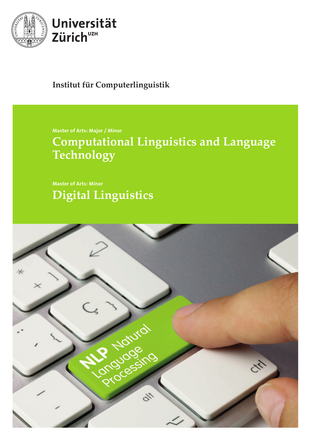

### **Institut für Computerlinguistik**

Master of Arts: Major / Minor

**Computational Linguistics and Language Technology**

Master of Arts: Minor **Digital Linguistics**

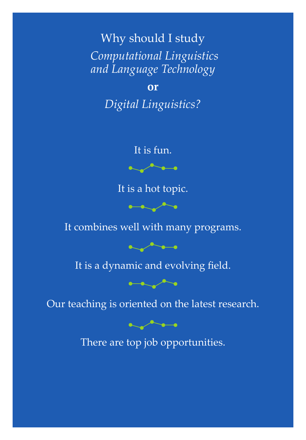# Why should I study *Computational Linguistics and Language Technology*

**or** 

*Digital Linguistics?*

It is fun.



It is a hot topic.

 $\overline{\phantom{a}}$ 

It combines well with many programs.



It is a dynamic and evolving field.



Our teaching is oriented on the latest research.



There are top job opportunities.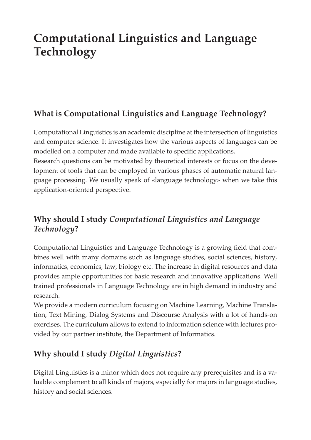## **Computational Linguistics and Language Technology**

### **What is Computational Linguistics and Language Technology?**

Computational Linguistics is an academic discipline at the intersection of linguistics and computer science. It investigates how the various aspects of languages can be modelled on a computer and made available to specific applications.

Research questions can be motivated by theoretical interests or focus on the development of tools that can be employed in various phases of automatic natural language processing. We usually speak of «language technology» when we take this application-oriented perspective.

### **Why should I study** *Computational Linguistics and Language Technology***?**

Computational Linguistics and Language Technology is a growing field that combines well with many domains such as language studies, social sciences, history, informatics, economics, law, biology etc. The increase in digital resources and data provides ample opportunities for basic research and innovative applications. Well trained professionals in Language Technology are in high demand in industry and research.

We provide a modern curriculum focusing on Machine Learning, Machine Translation, Text Mining, Dialog Systems and Discourse Analysis with a lot of hands-on exercises. The curriculum allows to extend to information science with lectures provided by our partner institute, the Department of Informatics.

### **Why should I study** *Digital Linguistics***?**

Digital Linguistics is a minor which does not require any prerequisites and is a valuable complement to all kinds of majors, especially for majors in language studies, history and social sciences.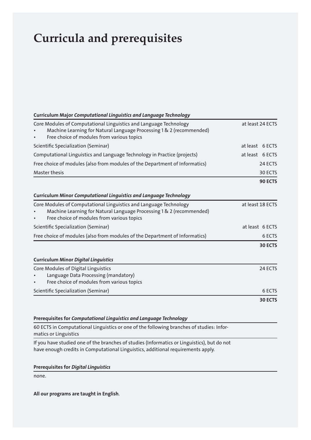# **Curricula and prerequisites**

| <b>Curriculum Major Computational Linguistics and Language Technology</b>                                                                                                               |                  |
|-----------------------------------------------------------------------------------------------------------------------------------------------------------------------------------------|------------------|
| Core Modules of Computational Linguistics and Language Technology<br>Machine Learning for Natural Language Processing 1 & 2 (recommended)<br>Free choice of modules from various topics | at least 24 ECTS |
| Scientific Specialization (Seminar)                                                                                                                                                     | at least 6 ECTS  |
| Computational Linguistics and Language Technology in Practice (projects)                                                                                                                | at least 6 ECTS  |
| Free choice of modules (also from modules of the Department of Informatics)                                                                                                             | 24 ECTS          |
| Master thesis                                                                                                                                                                           | 30 ECTS          |
|                                                                                                                                                                                         | 90 ECTS          |
| Curriculum Minor Computational Linguistics and Language Technology                                                                                                                      |                  |
| Core Modules of Computational Linguistics and Language Technology<br>Machine Learning for Natural Language Processing 1 & 2 (recommended)<br>Free choice of modules from various topics | at least 18 ECTS |
| Scientific Specialization (Seminar)                                                                                                                                                     | at least 6 ECTS  |
| Free choice of modules (also from modules of the Department of Informatics)                                                                                                             | 6 ECTS           |
|                                                                                                                                                                                         | 30 ECTS          |
| <b>Curriculum Minor Digital Linguistics</b>                                                                                                                                             |                  |
| Core Modules of Digital Linguistics<br>Language Data Processing (mandatory)<br>Free choice of modules from various topics                                                               | 24 ECTS          |
| Scientific Specialization (Seminar)                                                                                                                                                     | 6 ECTS           |
|                                                                                                                                                                                         | 30 ECTS          |

#### Prerequisites for *Computational Linguistics and Language Technology*

60 ECTS in Computational Linguistics or one of the following branches of studies: Informatics or Linguistics

If you have studied one of the branches of studies (Informatics or Linguistics), but do not have enough credits in Computational Linguistics, additional requirements apply.

#### Prerequisites for *Digital Linguistics*

none.

All our programs are taught in English.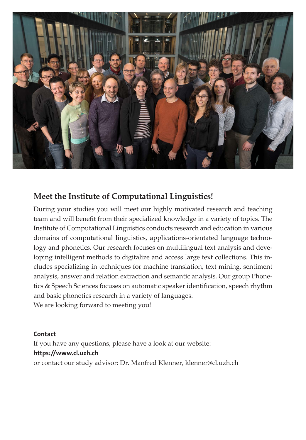

### **Meet the Institute of Computational Linguistics!**

During your studies you will meet our highly motivated research and teaching team and will benefit from their specialized knowledge in a variety of topics. The Institute of Computational Linguistics conducts research and education in various domains of computational linguistics, applications-orientated language technology and phonetics. Our research focuses on multilingual text analysis and developing intelligent methods to digitalize and access large text collections. This includes specializing in techniques for machine translation, text mining, sentiment analysis, answer and relation extraction and semantic analysis. Our group Phonetics & Speech Sciences focuses on automatic speaker identification, speech rhythm and basic phonetics research in a variety of languages.

We are looking forward to meeting you!

#### **Contact**

If you have any questions, please have a look at our website: https://www.cl.uzh.ch

or contact our study advisor: Dr. Manfred Klenner, klenner@cl.uzh.ch